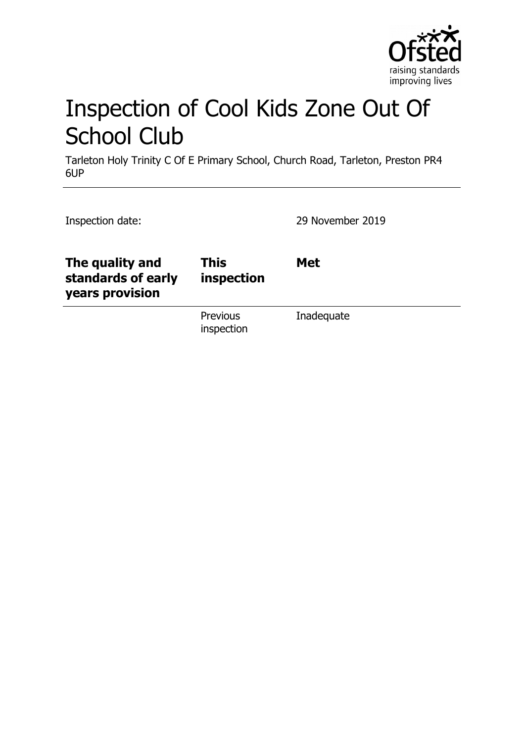

# Inspection of Cool Kids Zone Out Of School Club

Tarleton Holy Trinity C Of E Primary School, Church Road, Tarleton, Preston PR4 6UP

| Inspection date:                                         |                           | 29 November 2019 |
|----------------------------------------------------------|---------------------------|------------------|
| The quality and<br>standards of early<br>years provision | <b>This</b><br>inspection | <b>Met</b>       |
|                                                          | Previous<br>inspection    | Inadequate       |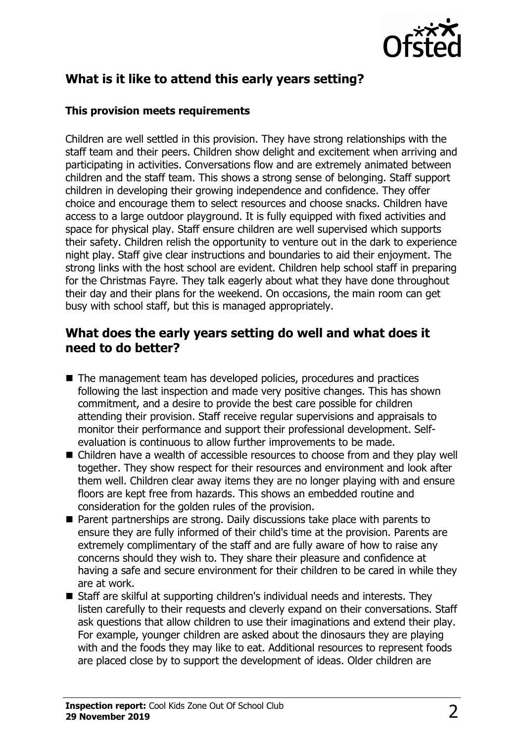

# **What is it like to attend this early years setting?**

#### **This provision meets requirements**

Children are well settled in this provision. They have strong relationships with the staff team and their peers. Children show delight and excitement when arriving and participating in activities. Conversations flow and are extremely animated between children and the staff team. This shows a strong sense of belonging. Staff support children in developing their growing independence and confidence. They offer choice and encourage them to select resources and choose snacks. Children have access to a large outdoor playground. It is fully equipped with fixed activities and space for physical play. Staff ensure children are well supervised which supports their safety. Children relish the opportunity to venture out in the dark to experience night play. Staff give clear instructions and boundaries to aid their enjoyment. The strong links with the host school are evident. Children help school staff in preparing for the Christmas Fayre. They talk eagerly about what they have done throughout their day and their plans for the weekend. On occasions, the main room can get busy with school staff, but this is managed appropriately.

#### **What does the early years setting do well and what does it need to do better?**

- $\blacksquare$  The management team has developed policies, procedures and practices following the last inspection and made very positive changes. This has shown commitment, and a desire to provide the best care possible for children attending their provision. Staff receive regular supervisions and appraisals to monitor their performance and support their professional development. Selfevaluation is continuous to allow further improvements to be made.
- Children have a wealth of accessible resources to choose from and they play well together. They show respect for their resources and environment and look after them well. Children clear away items they are no longer playing with and ensure floors are kept free from hazards. This shows an embedded routine and consideration for the golden rules of the provision.
- $\blacksquare$  Parent partnerships are strong. Daily discussions take place with parents to ensure they are fully informed of their child's time at the provision. Parents are extremely complimentary of the staff and are fully aware of how to raise any concerns should they wish to. They share their pleasure and confidence at having a safe and secure environment for their children to be cared in while they are at work.
- $\blacksquare$  Staff are skilful at supporting children's individual needs and interests. They listen carefully to their requests and cleverly expand on their conversations. Staff ask questions that allow children to use their imaginations and extend their play. For example, younger children are asked about the dinosaurs they are playing with and the foods they may like to eat. Additional resources to represent foods are placed close by to support the development of ideas. Older children are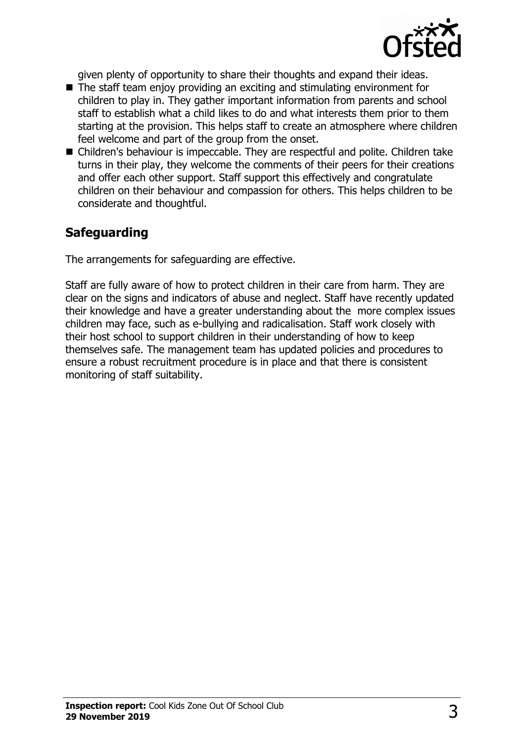

given plenty of opportunity to share their thoughts and expand their ideas.

- $\blacksquare$  The staff team enjoy providing an exciting and stimulating environment for children to play in. They gather important information from parents and school staff to establish what a child likes to do and what interests them prior to them starting at the provision. This helps staff to create an atmosphere where children feel welcome and part of the group from the onset.
- Children's behaviour is impeccable. They are respectful and polite. Children take turns in their play, they welcome the comments of their peers for their creations and offer each other support. Staff support this effectively and congratulate children on their behaviour and compassion for others. This helps children to be considerate and thoughtful.

### **Safeguarding**

The arrangements for safeguarding are effective.

Staff are fully aware of how to protect children in their care from harm. They are clear on the signs and indicators of abuse and neglect. Staff have recently updated their knowledge and have a greater understanding about the more complex issues children may face, such as e-bullying and radicalisation. Staff work closely with their host school to support children in their understanding of how to keep themselves safe. The management team has updated policies and procedures to ensure a robust recruitment procedure is in place and that there is consistent monitoring of staff suitability.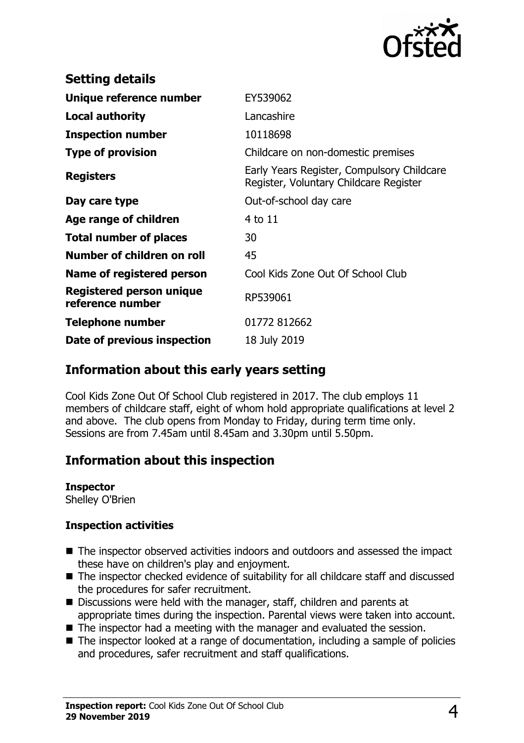

| <b>Setting details</b>                              |                                                                                      |
|-----------------------------------------------------|--------------------------------------------------------------------------------------|
| Unique reference number                             | EY539062                                                                             |
| <b>Local authority</b>                              | Lancashire                                                                           |
| <b>Inspection number</b>                            | 10118698                                                                             |
| <b>Type of provision</b>                            | Childcare on non-domestic premises                                                   |
| <b>Registers</b>                                    | Early Years Register, Compulsory Childcare<br>Register, Voluntary Childcare Register |
| Day care type                                       | Out-of-school day care                                                               |
| Age range of children                               | 4 to 11                                                                              |
| <b>Total number of places</b>                       | 30                                                                                   |
| Number of children on roll                          | 45                                                                                   |
| Name of registered person                           | Cool Kids Zone Out Of School Club                                                    |
| <b>Registered person unique</b><br>reference number | RP539061                                                                             |
| <b>Telephone number</b>                             | 01772 812662                                                                         |
| Date of previous inspection                         | 18 July 2019                                                                         |

#### **Information about this early years setting**

Cool Kids Zone Out Of School Club registered in 2017. The club employs 11 members of childcare staff, eight of whom hold appropriate qualifications at level 2 and above. The club opens from Monday to Friday, during term time only. Sessions are from 7.45am until 8.45am and 3.30pm until 5.50pm.

## **Information about this inspection**

**Inspector**

Shelley O'Brien

#### **Inspection activities**

- The inspector observed activities indoors and outdoors and assessed the impact these have on children's play and enjoyment.
- The inspector checked evidence of suitability for all childcare staff and discussed the procedures for safer recruitment.
- Discussions were held with the manager, staff, children and parents at appropriate times during the inspection. Parental views were taken into account.
- $\blacksquare$  The inspector had a meeting with the manager and evaluated the session.
- $\blacksquare$  The inspector looked at a range of documentation, including a sample of policies and procedures, safer recruitment and staff qualifications.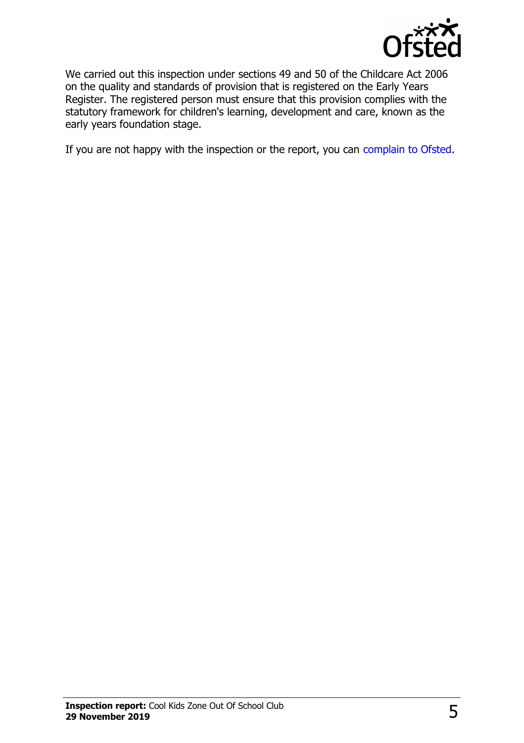

We carried out this inspection under sections 49 and 50 of the Childcare Act 2006 on the quality and standards of provision that is registered on the Early Years Register. The registered person must ensure that this provision complies with the statutory framework for children's learning, development and care, known as the early years foundation stage.

If you are not happy with the inspection or the report, you can [complain to Ofsted.](http://www.gov.uk/complain-ofsted-report)